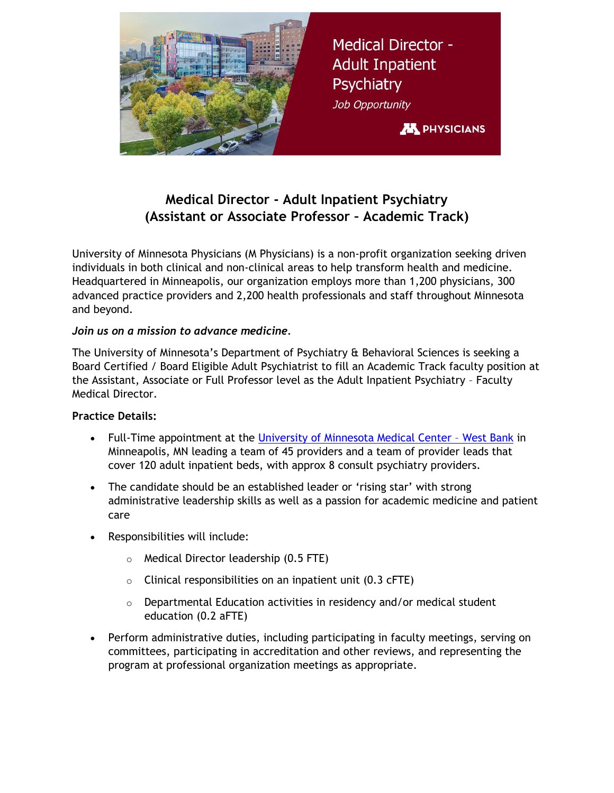

# **Medical Director - Adult Inpatient Psychiatry (Assistant or Associate Professor – Academic Track)**

University of Minnesota Physicians (M Physicians) is a non-profit organization seeking driven individuals in both clinical and non-clinical areas to help transform health and medicine. Headquartered in Minneapolis, our organization employs more than 1,200 physicians, 300 advanced practice providers and 2,200 health professionals and staff throughout Minnesota and beyond.

#### *Join us on a mission to advance medicine.*

The University of Minnesota's Department of Psychiatry & Behavioral Sciences is seeking a Board Certified / Board Eligible Adult Psychiatrist to fill an Academic Track faculty position at the Assistant, Associate or Full Professor level as the Adult Inpatient Psychiatry – Faculty Medical Director.

#### **Practice Details:**

- Full-Time appointment at the [University of Minnesota Medical Center](https://www.mhealthfairview.org/locations/M-Health-Fairview-University-of-Minnesota-Medical-Center---West-Bank-west)  West Bank in Minneapolis, MN leading a team of 45 providers and a team of provider leads that cover 120 adult inpatient beds, with approx 8 consult psychiatry providers.
- The candidate should be an established leader or 'rising star' with strong administrative leadership skills as well as a passion for academic medicine and patient care
- Responsibilities will include:
	- o Medical Director leadership (0.5 FTE)
	- $\circ$  Clinical responsibilities on an inpatient unit (0.3 cFTE)
	- $\circ$  Departmental Education activities in residency and/or medical student education (0.2 aFTE)
- Perform administrative duties, including participating in faculty meetings, serving on committees, participating in accreditation and other reviews, and representing the program at professional organization meetings as appropriate.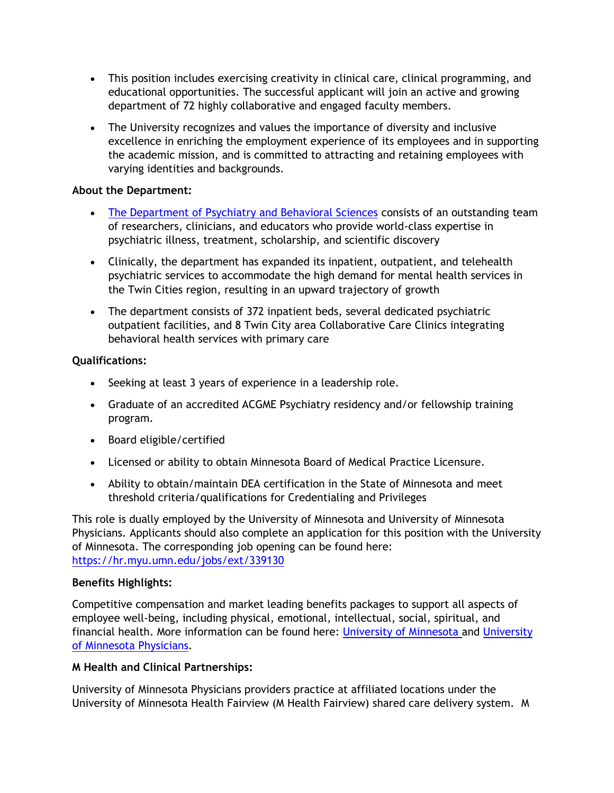- This position includes exercising creativity in clinical care, clinical programming, and educational opportunities. The successful applicant will join an active and growing department of 72 highly collaborative and engaged faculty members.
- The University recognizes and values the importance of diversity and inclusive excellence in enriching the employment experience of its employees and in supporting the academic mission, and is committed to attracting and retaining employees with varying identities and backgrounds.

#### **About the Department:**

- [The Department of Psychiatry and Behavioral Sciences](https://med.umn.edu/psychiatry) consists of an outstanding team of researchers, clinicians, and educators who provide world-class expertise in psychiatric illness, treatment, scholarship, and scientific discovery
- Clinically, the department has expanded its inpatient, outpatient, and telehealth psychiatric services to accommodate the high demand for mental health services in the Twin Cities region, resulting in an upward trajectory of growth
- The department consists of 372 inpatient beds, several dedicated psychiatric outpatient facilities, and 8 Twin City area Collaborative Care Clinics integrating behavioral health services with primary care

#### **Qualifications:**

- Seeking at least 3 years of experience in a leadership role.
- Graduate of an accredited ACGME Psychiatry residency and/or fellowship training program.
- Board eligible/certified
- Licensed or ability to obtain Minnesota Board of Medical Practice Licensure.
- Ability to obtain/maintain DEA certification in the State of Minnesota and meet threshold criteria/qualifications for Credentialing and Privileges

This role is dually employed by the University of Minnesota and University of Minnesota Physicians. Applicants should also complete an application for this position with the University of Minnesota. The corresponding job opening can be found here: <https://hr.myu.umn.edu/jobs/ext/339130>

## **Benefits Highlights:**

Competitive compensation and market leading benefits packages to support all aspects of employee well-being, including physical, emotional, intellectual, social, spiritual, and financial health. More information can be found here: [University of Minnesota](https://humanresources.umn.edu/benefits) and [University](https://mphysicians.org/careers)  [of Minnesota Physicians.](https://mphysicians.org/careers)

## **M Health and Clinical Partnerships:**

University of Minnesota Physicians providers practice at affiliated locations under the University of Minnesota Health Fairview (M Health Fairview) shared care delivery system. M